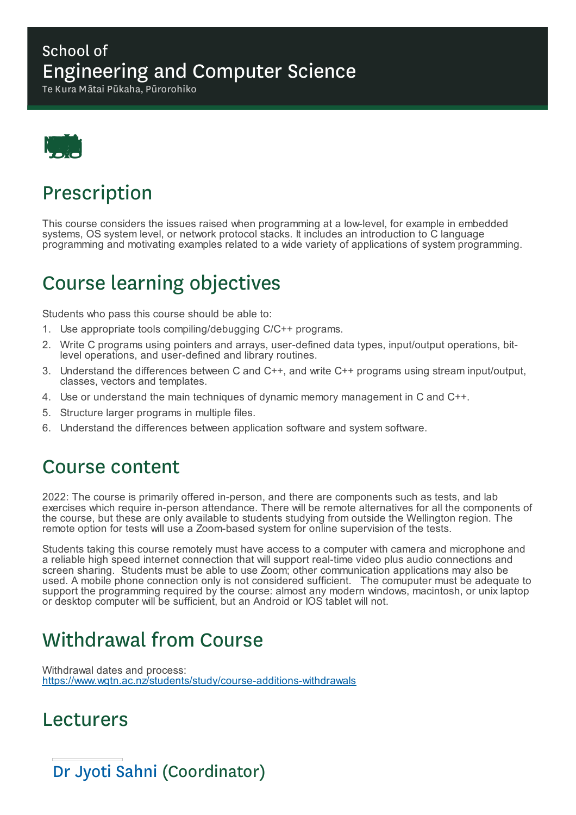#### School of Engineering and Computer Science

Te Kura Mātai Pūkaha, Pūrorohiko



## Prescription

This course considers the issues raised when programming at a low-level, for example in embedded systems, OS system level, or network protocol stacks. It includes an introduction to C language programming and motivating examples related to a wide variety of applications of system programming.

## Course learning objectives

Students who pass this course should be able to:

- 1. Use appropriate tools compiling/debugging C/C++ programs.
- 2. Write C programs using pointers and arrays, user-defined data types, input/output operations, bitlevel operations, and user-defined and library routines.
- 3. Understand the differences between C and C++, and write C++ programs using stream input/output, classes, vectors and templates.
- 4. Use or understand the main techniques of dynamic memory management in C and C++.
- 5. Structure larger programs in multiple files.
- 6. Understand the differences between application software and system software.

#### Course content

2022: The course is primarily offered in-person, and there are components such as tests, and lab exercises which require in-person attendance. There will be remote alternatives for all the components of the course, but these are only available to students studying from outside the Wellington region. The remote option for tests will use a Zoom-based system for online supervision of the tests.

Students taking this course remotely must have access to a computer with camera and microphone and a reliable high speed internet connection that will support real-time video plus audio connections and screen sharing. Students must be able to use Zoom; other communication applications may also be used. A mobile phone connection only is not considered sufficient. The comuputer must be adequate to support the programming required by the course: almost any modern windows, macintosh, or unix laptop or desktop computer will be sufficient, but an Android or IOS tablet will not.

### Withdrawal from Course

Withdrawal dates and process: https://www.wgtn.ac.nz/students/study/course-additions-withdrawals

### Lecturers

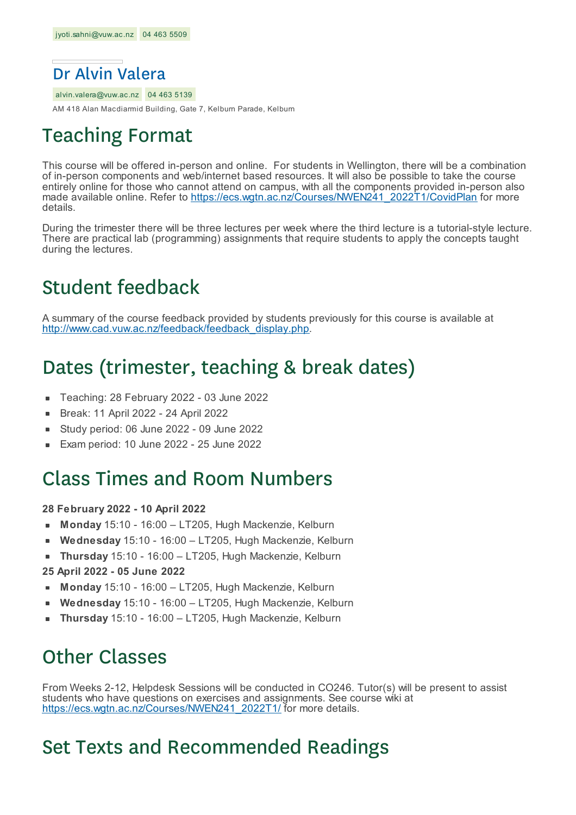

alvin.valera@vuw.ac.nz 04 463 5139

AM 418 Alan Macdiarmid Building, Gate 7, Kelburn Parade, Kelburn

### Teaching Format

This course will be offered in-person and online. For students in Wellington, there will be a combination of in-person components and web/internet based resources. It will also be possible to take the course entirely online for those who cannot attend on campus, with all the components provided in-person also made available online. Refer to https://ecs.wgtn.ac.nz/Courses/NWEN241\_2022T1/CovidPlan for more details.

During the trimester there will be three lectures per week where the third lecture is a tutorial-style lecture. There are practical lab (programming) assignments that require students to apply the concepts taught during the lectures.

### Student feedback

A summary of the course feedback provided by students previously for this course is available at http://www.cad.vuw.ac.nz/feedback/feedback\_display.php.

### Dates (trimester, teaching & break dates)

- Teaching: 28 February 2022 03 June 2022
- Break: 11 April 2022 24 April 2022  $\blacksquare$
- Study period: 06 June 2022 09 June 2022
- Exam period: 10 June 2022 25 June 2022

### Class Times and Room Numbers

#### **28 February 2022 - 10 April 2022**

- **Monday** 15:10 16:00 LT205, Hugh Mackenzie, Kelburn
- **Wednesday** 15:10 16:00 LT205, Hugh Mackenzie, Kelburn
- **Thursday** 15:10 16:00 LT205, Hugh Mackenzie, Kelburn
- **25 April 2022 - 05 June 2022**
- **Monday** 15:10 16:00 LT205, Hugh Mackenzie, Kelburn
- **Wednesday** 15:10 16:00 LT205, Hugh Mackenzie, Kelburn
- **Thursday** 15:10 16:00 LT205, Hugh Mackenzie, Kelburn

### Other Classes

From Weeks 2-12, Helpdesk Sessions will be conducted in CO246. Tutor(s) will be present to assist students who have questions on exercises and assignments. See course wiki at https://ecs.wgtn.ac.nz/Courses/NWEN241\_2022T1/ for more details.

### Set Texts and Recommended Readings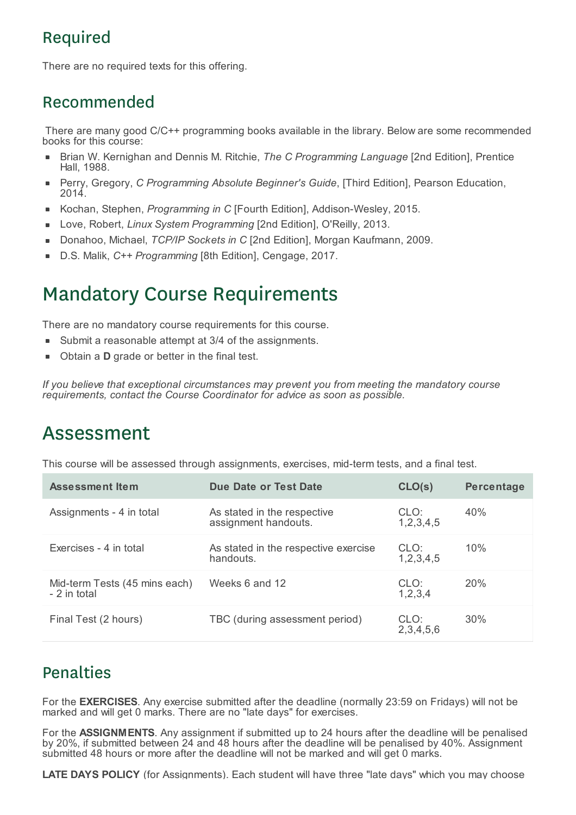### Required

There are no required texts for this offering.

### Recommended

There are many good C/C++ programming books available in the library. Below are some recommended books for this course:

- Brian W. Kernighan and Dennis M. Ritchie, *The C Programming Language* [2nd Edition], Prentice Hall, 1988.
- Perry, Gregory, *C Programming Absolute Beginner's Guide*, [Third Edition], Pearson Education, 2014.
- Kochan, Stephen, *Programming in C* [Fourth Edition], Addison-Wesley, 2015.
- Love, Robert, *Linux System Programming* [2nd Edition], O'Reilly, 2013. É
- Donahoo, Michael, *TCP/IP Sockets in C* [2nd Edition], Morgan Kaufmann, 2009.
- D.S. Malik, *C++ Programming* [8th Edition], Cengage, 2017. ×

### Mandatory Course Requirements

There are no mandatory course requirements for this course.

- Submit a reasonable attempt at 3/4 of the assignments.
- Obtain a **D** grade or better in the final test.

*If you believe that exceptional circumstances may prevent you from meeting the mandatory course requirements, contact the Course Coordinator for advice as soon as possible.*

### Assessment

This course will be assessed through assignments, exercises, mid-term tests, and a final test.

| <b>Assessment Item</b>                        | Due Date or Test Date                               | CLO(s)                | Percentage |
|-----------------------------------------------|-----------------------------------------------------|-----------------------|------------|
| Assignments - 4 in total                      | As stated in the respective<br>assignment handouts. | CLO:<br>1,2,3,4,5     | 40%        |
| Exercises - 4 in total                        | As stated in the respective exercise<br>handouts.   | CLO:<br>1, 2, 3, 4, 5 | 10%        |
| Mid-term Tests (45 mins each)<br>- 2 in total | Weeks 6 and 12                                      | CLO:<br>1,2,3,4       | 20%        |
| Final Test (2 hours)                          | TBC (during assessment period)                      | CLO:<br>2,3,4,5,6     | 30%        |

### **Penalties**

For the **EXERCISES**. Any exercise submitted after the deadline (normally 23:59 on Fridays) will not be marked and will get 0 marks. There are no "late days" for exercises.

For the **ASSIGNMENTS**. Any assignment if submitted up to 24 hours after the deadline will be penalised by 20%, if submitted between 24 and 48 hours after the deadline will be penalised by 40%. Assignment submitted 48 hours or more after the deadline will not be marked and will get 0 marks.

**LATE DAYS POLICY** (for Assignments). Each student will have three "late days" which you may choose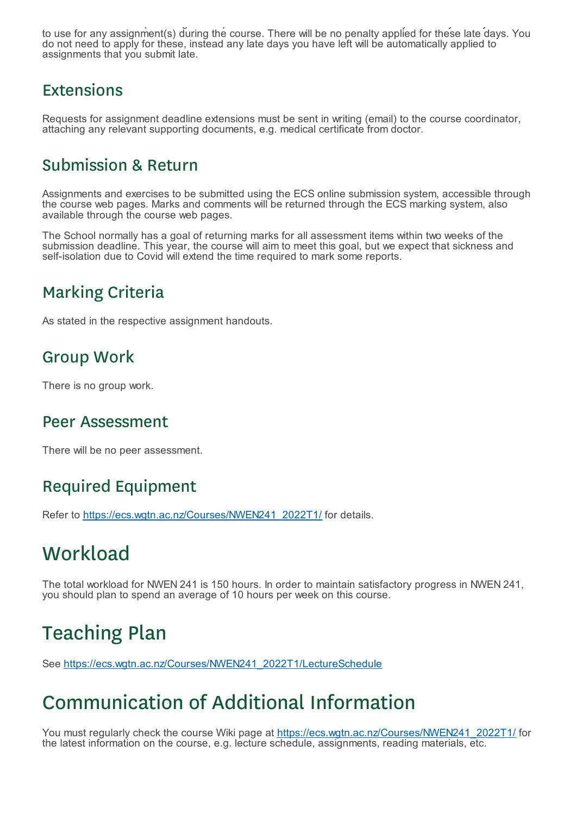**LATE DAYS POLICY** (for Assignments). Each student will have three "late days" which you may choose to use for any assignment(s) during the course. There will be no penalty applied for these late days. You do not need to apply for these, instead any late days you have left will be automatically applied to assignments that you submit late.

#### Extensions

Requests for assignment deadline extensions must be sent in writing (email) to the course coordinator, attaching any relevant supporting documents, e.g. medical certificate from doctor.

### Submission & Return

Assignments and exercises to be submitted using the ECS online submission system, accessible through the course web pages. Marks and comments will be returned through the ECS marking system, also available through the course web pages.

The School normally has a goal of returning marks for all assessment items within two weeks of the submission deadline. This year, the course will aim to meet this goal, but we expect that sickness and self-isolation due to Covid will extend the time required to mark some reports.

### Marking Criteria

As stated in the respective assignment handouts.

### Group Work

There is no group work.

#### Peer Assessment

There will be no peer assessment.

### Required Equipment

Refer to https://ecs.wgtn.ac.nz/Courses/NWEN241\_2022T1/ for details.

### **Workload**

The total workload for NWEN 241 is 150 hours. In order to maintain satisfactory progress in NWEN 241, you should plan to spend an average of 10 hours per week on this course.

# Teaching Plan

See https://ecs.wgtn.ac.nz/Courses/NWEN241\_2022T1/LectureSchedule

# Communication of Additional Information

You must regularly check the course Wiki page at https://ecs.wgtn.ac.nz/Courses/NWEN241\_2022T1/ for the latest information on the course, e.g. lecture schedule, assignments, reading materials, etc.